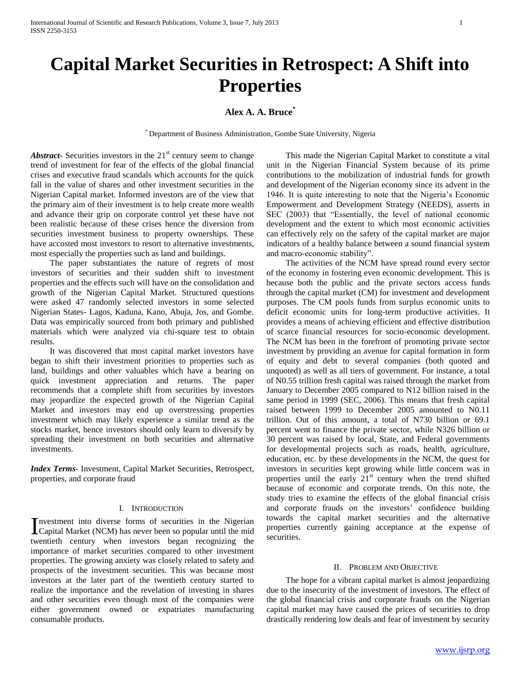# **Capital Market Securities in Retrospect: A Shift into Properties**

# **Alex A. A. Bruce\***

\* Department of Business Administration, Gombe State University, Nigeria

Abstract Securities investors in the 21<sup>st</sup> century seem to change trend of investment for fear of the effects of the global financial crises and executive fraud scandals which accounts for the quick fall in the value of shares and other investment securities in the Nigerian Capital market. Informed investors are of the view that the primary aim of their investment is to help create more wealth and advance their grip on corporate control yet these have not been realistic because of these crises hence the diversion from securities investment business to property ownerships. These have accosted most investors to resort to alternative investments, most especially the properties such as land and buildings.

 The paper substantiates the nature of regrets of most investors of securities and their sudden shift to investment properties and the effects such will have on the consolidation and growth of the Nigerian Capital Market. Structured questions were asked 47 randomly selected investors in some selected Nigerian States- Lagos, Kaduna, Kano, Abuja, Jos, and Gombe. Data was empirically sourced from both primary and published materials which were analyzed via chi-square test to obtain results.

 It was discovered that most capital market investors have began to shift their investment priorities to properties such as land, buildings and other valuables which have a bearing on quick investment appreciation and returns. The paper recommends that a complete shift from securities by investors may jeopardize the expected growth of the Nigerian Capital Market and investors may end up overstressing properties investment which may likely experience a similar trend as the stocks market, hence investors should only learn to diversify by spreading their investment on both securities and alternative investments.

*Index Terms*- Investment, Capital Market Securities, Retrospect, properties, and corporate fraud

#### I. INTRODUCTION

nvestment into diverse forms of securities in the Nigerian Investment into diverse forms of securities in the Nigerian<br>Capital Market (NCM) has never been so popular until the mid twentieth century when investors began recognizing the importance of market securities compared to other investment properties. The growing anxiety was closely related to safety and prospects of the investment securities. This was because most investors at the later part of the twentieth century started to realize the importance and the revelation of investing in shares and other securities even though most of the companies were either government owned or expatriates manufacturing consumable products.

 This made the Nigerian Capital Market to constitute a vital unit in the Nigerian Financial System because of its prime contributions to the mobilization of industrial funds for growth and development of the Nigerian economy since its advent in the 1946. It is quite interesting to note that the Nigeria"s Economic Empowerment and Development Strategy (NEEDS), asserts in SEC (2003) that "Essentially, the level of national economic development and the extent to which most economic activities can effectively rely on the safety of the capital market are major indicators of a healthy balance between a sound financial system and macro-economic stability".

 The activities of the NCM have spread round every sector of the economy in fostering even economic development. This is because both the public and the private sectors access funds through the capital market (CM) for investment and development purposes. The CM pools funds from surplus economic units to deficit economic units for long-term productive activities. It provides a means of achieving efficient and effective distribution of scarce financial resources for socio-economic development. The NCM has been in the forefront of promoting private sector investment by providing an avenue for capital formation in form of equity and debt to several companies (both quoted and unquoted) as well as all tiers of government. For instance, a total of N0.55 trillion fresh capital was raised through the market from January to December 2005 compared to N12 billion raised in the same period in 1999 (SEC, 2006). This means that fresh capital raised between 1999 to December 2005 amounted to N0.11 trillion. Out of this amount, a total of N730 billion or 69.1 percent went to finance the private sector, while N326 billion or 30 percent was raised by local, State, and Federal governments for developmental projects such as roads, health, agriculture, education, etc. by these developments in the NCM, the quest for investors in securities kept growing while little concern was in properties until the early  $21<sup>st</sup>$  century when the trend shifted because of economic and corporate trends. On this note, the study tries to examine the effects of the global financial crisis and corporate frauds on the investors' confidence building towards the capital market securities and the alternative properties currently gaining acceptance at the expense of securities.

#### II. PROBLEM AND OBJECTIVE

 The hope for a vibrant capital market is almost jeopardizing due to the insecurity of the investment of investors. The effect of the global financial crisis and corporate frauds on the Nigerian capital market may have caused the prices of securities to drop drastically rendering low deals and fear of investment by security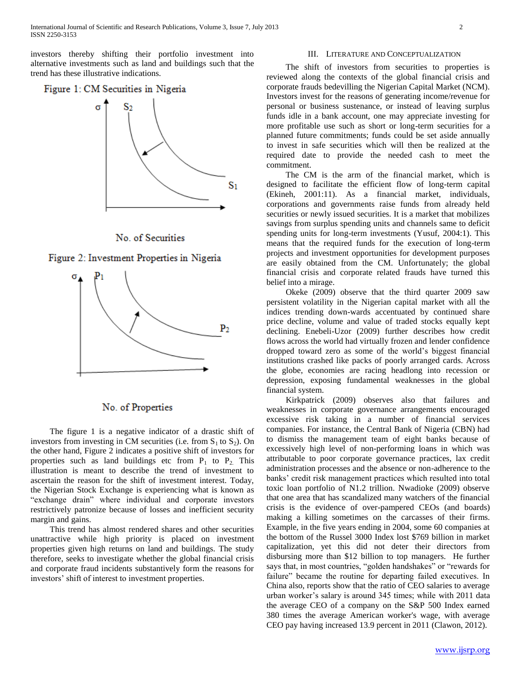investors thereby shifting their portfolio investment into alternative investments such as land and buildings such that the trend has these illustrative indications.

# Figure 1: CM Securities in Nigeria









# No. of Properties

 The figure 1 is a negative indicator of a drastic shift of investors from investing in CM securities (i.e. from  $S_1$  to  $S_2$ ). On the other hand, Figure 2 indicates a positive shift of investors for properties such as land buildings etc from  $P_1$  to  $P_2$ . This illustration is meant to describe the trend of investment to ascertain the reason for the shift of investment interest. Today, the Nigerian Stock Exchange is experiencing what is known as "exchange drain" where individual and corporate investors restrictively patronize because of losses and inefficient security margin and gains.

 This trend has almost rendered shares and other securities unattractive while high priority is placed on investment properties given high returns on land and buildings. The study therefore, seeks to investigate whether the global financial crisis and corporate fraud incidents substantively form the reasons for investors" shift of interest to investment properties.

#### III. LITERATURE AND CONCEPTUALIZATION

 The shift of investors from securities to properties is reviewed along the contexts of the global financial crisis and corporate frauds bedevilling the Nigerian Capital Market (NCM). Investors invest for the reasons of generating income/revenue for personal or business sustenance, or instead of leaving surplus funds idle in a bank account, one may appreciate investing for more profitable use such as short or long-term securities for a planned future commitments; funds could be set aside annually to invest in safe securities which will then be realized at the required date to provide the needed cash to meet the commitment.

 The CM is the arm of the financial market, which is designed to facilitate the efficient flow of long-term capital (Ekineh, 2001:11). As a financial market, individuals, corporations and governments raise funds from already held securities or newly issued securities. It is a market that mobilizes savings from surplus spending units and channels same to deficit spending units for long-term investments (Yusuf, 2004:1). This means that the required funds for the execution of long-term projects and investment opportunities for development purposes are easily obtained from the CM. Unfortunately; the global financial crisis and corporate related frauds have turned this belief into a mirage.

 Okeke (2009) observe that the third quarter 2009 saw persistent volatility in the Nigerian capital market with all the indices trending down-wards accentuated by continued share price decline, volume and value of traded stocks equally kept declining. Enebeli-Uzor (2009) further describes how credit flows across the world had virtually frozen and lender confidence dropped toward zero as some of the world"s biggest financial institutions crashed like packs of poorly arranged cards. Across the globe, economies are racing headlong into recession or depression, exposing fundamental weaknesses in the global financial system.

 Kirkpatrick (2009) observes also that failures and weaknesses in corporate governance arrangements encouraged excessive risk taking in a number of financial services companies. For instance, the Central Bank of Nigeria (CBN) had to dismiss the management team of eight banks because of excessively high level of non-performing loans in which was attributable to poor corporate governance practices, lax credit administration processes and the absence or non-adherence to the banks' credit risk management practices which resulted into total toxic loan portfolio of N1.2 trillion. Nwadioke (2009) observe that one area that has scandalized many watchers of the financial crisis is the evidence of over-pampered CEOs (and boards) making a killing sometimes on the carcasses of their firms. Example, in the five years ending in 2004, some 60 companies at the bottom of the Russel 3000 Index lost \$769 billion in market capitalization, yet this did not deter their directors from disbursing more than \$12 billion to top managers. He further says that, in most countries, "golden handshakes" or "rewards for failure" became the routine for departing failed executives. In China also, reports show that the ratio of CEO salaries to average urban worker"s salary is around 345 times; while with 2011 data the average CEO of a company on the S&P 500 Index earned 380 times the average American worker's wage, with average CEO pay having increased 13.9 percent in 2011 (Clawon, 2012).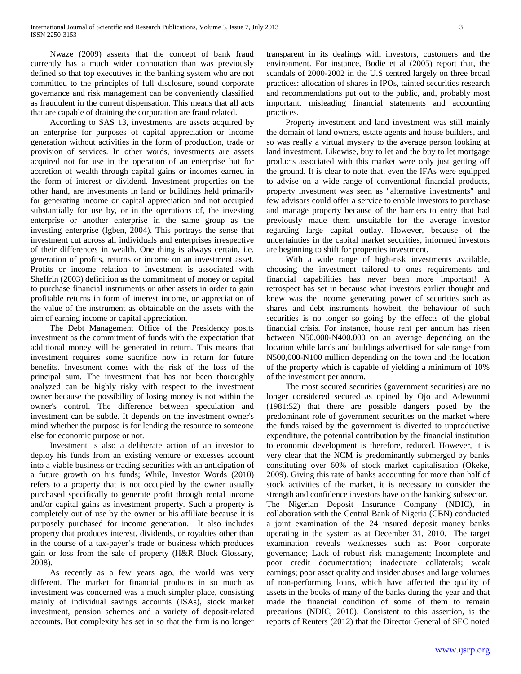Nwaze (2009) asserts that the concept of bank fraud currently has a much wider connotation than was previously defined so that top executives in the banking system who are not committed to the principles of full disclosure, sound corporate governance and risk management can be conveniently classified as fraudulent in the current dispensation. This means that all acts that are capable of draining the corporation are fraud related.

 According to SAS 13, investments are assets acquired by an enterprise for purposes of capital appreciation or income generation without activities in the form of production, trade or provision of services. In other words, investments are assets acquired not for use in the operation of an enterprise but for accretion of wealth through capital gains or incomes earned in the form of interest or dividend. Investment properties on the other hand, are investments in land or buildings held primarily for generating income or capital appreciation and not occupied substantially for use by, or in the operations of, the investing enterprise or another enterprise in the same group as the investing enterprise (Igben, 2004). This portrays the sense that investment cut across all individuals and enterprises irrespective of their differences in wealth. One thing is always certain, i.e. generation of profits, returns or income on an investment asset. Profits or income relation to Investment is associated with Sheffrin (2003) definition as the commitment of money or capital to purchase financial instruments or other assets in order to gain profitable returns in form of interest income, or appreciation of the value of the instrument as obtainable on the assets with the aim of earning income or capital appreciation.

 The Debt Management Office of the Presidency posits investment as the commitment of funds with the expectation that additional money will be generated in return. This means that investment requires some sacrifice now in return for future benefits. Investment comes with the risk of the loss of the principal sum. The investment that has not been thoroughly analyzed can be highly risky with respect to the investment owner because the possibility of losing money is not within the owner's control. The difference between speculation and investment can be subtle. It depends on the investment owner's mind whether the purpose is for lending the resource to someone else for economic purpose or not.

 Investment is also a deliberate action of an investor to deploy his funds from an existing venture or excesses account into a viable business or trading securities with an anticipation of a future growth on his funds; While, Investor Words (2010) refers to a property that is not occupied by the owner usually purchased specifically to generate profit through rental income and/or capital gains as investment property. Such a property is completely out of use by the owner or his affiliate because it is purposely purchased for income generation. It also includes property that produces interest, dividends, or royalties other than in the course of a tax-payer"s trade or business which produces gain or loss from the sale of property (H&R Block Glossary, 2008).

 As recently as a few years ago, the world was very different. The market for financial products in so much as investment was concerned was a much simpler place, consisting mainly of individual savings accounts (ISAs), stock market investment, pension schemes and a variety of deposit-related accounts. But complexity has set in so that the firm is no longer

transparent in its dealings with investors, customers and the environment. For instance, Bodie et al (2005) report that, the scandals of 2000-2002 in the U.S centred largely on three broad practices: allocation of shares in IPOs, tainted securities research and recommendations put out to the public, and, probably most important, misleading financial statements and accounting practices.

 Property investment and land investment was still mainly the domain of land owners, estate agents and house builders, and so was really a virtual mystery to the average person looking at land investment. Likewise, buy to let and the buy to let mortgage products associated with this market were only just getting off the ground. It is clear to note that, even the IFAs were equipped to advise on a wide range of conventional financial products, property investment was seen as "alternative investments" and few advisors could offer a service to enable investors to purchase and manage property because of the barriers to entry that had previously made them unsuitable for the average investor regarding large capital outlay. However, because of the uncertainties in the capital market securities, informed investors are beginning to shift for properties investment.

 With a wide range of high-risk investments available, choosing the investment tailored to ones requirements and financial capabilities has never been more important! A retrospect has set in because what investors earlier thought and knew was the income generating power of securities such as shares and debt instruments howbeit, the behaviour of such securities is no longer so going by the effects of the global financial crisis. For instance, house rent per annum has risen between N50,000-N400,000 on an average depending on the location while lands and buildings advertised for sale range from N500,000-N100 million depending on the town and the location of the property which is capable of yielding a minimum of 10% of the investment per annum.

 The most secured securities (government securities) are no longer considered secured as opined by Ojo and Adewunmi (1981:52) that there are possible dangers posed by the predominant role of government securities on the market where the funds raised by the government is diverted to unproductive expenditure, the potential contribution by the financial institution to economic development is therefore, reduced. However, it is very clear that the NCM is predominantly submerged by banks constituting over 60% of stock market capitalisation (Okeke, 2009). Giving this rate of banks accounting for more than half of stock activities of the market, it is necessary to consider the strength and confidence investors have on the banking subsector. The Nigerian Deposit Insurance Company (NDIC), in collaboration with the Central Bank of Nigeria (CBN) conducted a joint examination of the 24 insured deposit money banks operating in the system as at December 31, 2010. The target examination reveals weaknesses such as: Poor corporate governance; Lack of robust risk management; Incomplete and poor credit documentation; inadequate collaterals; weak earnings; poor asset quality and insider abuses and large volumes of non-performing loans, which have affected the quality of assets in the books of many of the banks during the year and that made the financial condition of some of them to remain precarious (NDIC, 2010). Consistent to this assertion, is the reports of Reuters (2012) that the Director General of SEC noted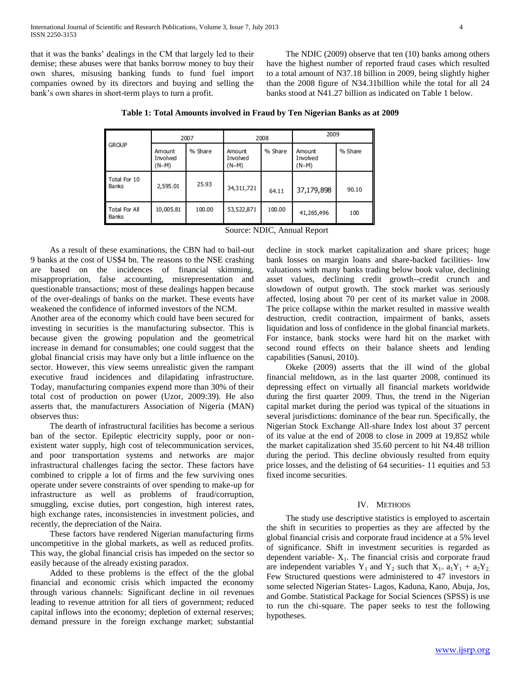that it was the banks" dealings in the CM that largely led to their demise; these abuses were that banks borrow money to buy their own shares, misusing banking funds to fund fuel import companies owned by its directors and buying and selling the bank's own shares in short-term plays to turn a profit.

 The NDIC (2009) observe that ten (10) banks among others have the highest number of reported fraud cases which resulted to a total amount of N37.18 billion in 2009, being slightly higher than the 2008 figure of N34.31billion while the total for all 24 banks stood at N41.27 billion as indicated on Table 1 below.

|                        | 2007                          |         | 2008                          |         | 2009                          |         |
|------------------------|-------------------------------|---------|-------------------------------|---------|-------------------------------|---------|
| <b>GROUP</b>           | Amount<br>Involved<br>$(N-M)$ | % Share | Amount<br>Involved<br>$(N-M)$ | % Share | Amount<br>Involved<br>$(N-M)$ | % Share |
| Total For 10<br>Banks  | 2,595.01                      | 25.93   | 34,311,721                    | 64.11   | 37,179,898                    | 90.10   |
| Total For All<br>Banks | 10,005.81                     | 100.00  | 53,522,871                    | 100.00  | 41,265,496                    | 100     |

**Table 1: Total Amounts involved in Fraud by Ten Nigerian Banks as at 2009**

Source: NDIC, Annual Report

 As a result of these examinations, the CBN had to bail-out 9 banks at the cost of US\$4 bn. The reasons to the NSE crashing are based on the incidences of financial skimming, misappropriation, false accounting, misrepresentation and questionable transactions; most of these dealings happen because of the over-dealings of banks on the market. These events have weakened the confidence of informed investors of the NCM.

Another area of the economy which could have been secured for investing in securities is the manufacturing subsector. This is because given the growing population and the geometrical increase in demand for consumables; one could suggest that the global financial crisis may have only but a little influence on the sector. However, this view seems unrealistic given the rampant executive fraud incidences and dilapidating infrastructure. Today, manufacturing companies expend more than 30% of their total cost of production on power (Uzor, 2009:39). He also asserts that, the manufacturers Association of Nigeria (MAN) observes thus:

 The dearth of infrastructural facilities has become a serious ban of the sector. Epileptic electricity supply, poor or nonexistent water supply, high cost of telecommunication services, and poor transportation systems and networks are major infrastructural challenges facing the sector. These factors have combined to cripple a lot of firms and the few surviving ones operate under severe constraints of over spending to make-up for infrastructure as well as problems of fraud/corruption, smuggling, excise duties, port congestion, high interest rates, high exchange rates, inconsistencies in investment policies, and recently, the depreciation of the Naira.

 These factors have rendered Nigerian manufacturing firms uncompetitive in the global markets, as well as reduced profits. This way, the global financial crisis has impeded on the sector so easily because of the already existing paradox.

 Added to these problems is the effect of the the global financial and economic crisis which impacted the economy through various channels: Significant decline in oil revenues leading to revenue attrition for all tiers of government; reduced capital inflows into the economy; depletion of external reserves; demand pressure in the foreign exchange market; substantial

decline in stock market capitalization and share prices; huge bank losses on margin loans and share-backed facilities- low valuations with many banks trading below book value, declining asset values, declining credit growth--credit crunch and slowdown of output growth. The stock market was seriously affected, losing about 70 per cent of its market value in 2008. The price collapse within the market resulted in massive wealth destruction, credit contraction, impairment of banks, assets liquidation and loss of confidence in the global financial markets. For instance, bank stocks were hard hit on the market with second round effects on their balance sheets and lending capabilities (Sanusi, 2010).

 Okeke (2009) asserts that the ill wind of the global financial meltdown, as in the last quarter 2008, continued its depressing effect on virtually all financial markets worldwide during the first quarter 2009. Thus, the trend in the Nigerian capital market during the period was typical of the situations in several jurisdictions: dominance of the bear run. Specifically, the Nigerian Stock Exchange All-share Index lost about 37 percent of its value at the end of 2008 to close in 2009 at 19,852 while the market capitalization shed 35.60 percent to hit N4.48 trillion during the period. This decline obviously resulted from equity price losses, and the delisting of 64 securities- 11 equities and 53 fixed income securities.

#### IV. METHODS

 The study use descriptive statistics is employed to ascertain the shift in securities to properties as they are affected by the global financial crisis and corporate fraud incidence at a 5% level of significance. Shift in investment securities is regarded as dependent variable- $X_1$ . The financial crisis and corporate fraud are independent variables  $Y_1$  and  $Y_2$  such that  $X_{1=} a_1 Y_1 + a_2 Y_2$ . Few Structured questions were administered to 47 investors in some selected Nigerian States- Lagos, Kaduna, Kano, Abuja, Jos, and Gombe. Statistical Package for Social Sciences (SPSS) is use to run the chi-square. The paper seeks to test the following hypotheses.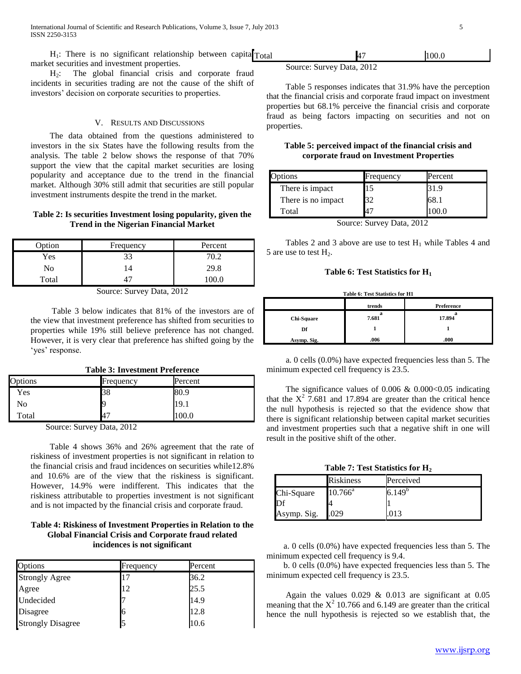$H_1$ : There is no significant relationship between capita $T_{\text{total}}$ market securities and investment properties.

 H2: The global financial crisis and corporate fraud incidents in securities trading are not the cause of the shift of investors" decision on corporate securities to properties.

#### V. RESULTS AND DISCUSSIONS

 The data obtained from the questions administered to investors in the six States have the following results from the analysis. The table 2 below shows the response of that 70% support the view that the capital market securities are losing popularity and acceptance due to the trend in the financial market. Although 30% still admit that securities are still popular investment instruments despite the trend in the market.

## **Table 2: Is securities Investment losing popularity, given the Trend in the Nigerian Financial Market**

| Option | Frequency | Percent |
|--------|-----------|---------|
| Yes    | 33        | 70.2    |
| No     |           | 29.8    |
| Total  |           |         |

Source: Survey Data, 2012

 Table 3 below indicates that 81% of the investors are of the view that investment preference has shifted from securities to properties while 19% still believe preference has not changed. However, it is very clear that preference has shifted going by the 'yes' response.

|  |  | <b>Table 3: Investment Preference</b> |  |
|--|--|---------------------------------------|--|
|--|--|---------------------------------------|--|

| Options | Frequency | Percent |  |
|---------|-----------|---------|--|
| Yes     | 38        | 80.9    |  |
| No      |           | 19.1    |  |
| Total   | 47        | 00.0    |  |

Source: Survey Data, 2012

 Table 4 shows 36% and 26% agreement that the rate of riskiness of investment properties is not significant in relation to the financial crisis and fraud incidences on securities while12.8% and 10.6% are of the view that the riskiness is significant. However, 14.9% were indifferent. This indicates that the riskiness attributable to properties investment is not significant and is not impacted by the financial crisis and corporate fraud.

## **Table 4: Riskiness of Investment Properties in Relation to the Global Financial Crisis and Corporate fraud related incidences is not significant**

| Options                  | Frequency | Percent |
|--------------------------|-----------|---------|
| <b>Strongly Agree</b>    | 17        | 36.2    |
| Agree                    | 12        | 25.5    |
| Undecided                |           | 14.9    |
| Disagree                 |           | 12.8    |
| <b>Strongly Disagree</b> |           | 10.6    |

| Total | Ζ | 100.0 |
|-------|---|-------|
|       |   |       |

Source: Survey Data, 2012

 Table 5 responses indicates that 31.9% have the perception that the financial crisis and corporate fraud impact on investment properties but 68.1% perceive the financial crisis and corporate fraud as being factors impacting on securities and not on properties.

## **Table 5: perceived impact of the financial crisis and corporate fraud on Investment Properties**

| Options            | Frequency        | Percent |
|--------------------|------------------|---------|
| There is impact    | D                |         |
| There is no impact | 20               | 68.     |
| Total              |                  |         |
| $\sim$             | $\sim$<br>$\sim$ | $  -$   |

Source: Survey Data, 2012

Tables 2 and 3 above are use to test  $H_1$  while Tables 4 and 5 are use to test  $H_2$ .

## **Table 6: Test Statistics for H<sup>1</sup>**

**Table 6: Test Statistics for H1**

|             | trends | Preference |
|-------------|--------|------------|
| Chi-Square  | 7.681  | 17.894     |
| Df          |        |            |
| Asymp. Sig. | .006   | .000       |

 a. 0 cells (0.0%) have expected frequencies less than 5. The minimum expected cell frequency is 23.5.

The significance values of  $0.006 \& 0.000 < 0.05$  indicating that the  $X^2$  7.681 and 17.894 are greater than the critical hence the null hypothesis is rejected so that the evidence show that there is significant relationship between capital market securities and investment properties such that a negative shift in one will result in the positive shift of the other.

**Table 7: Test Statistics for H<sup>2</sup>**

|             | <b>Riskiness</b> | Perceived   |
|-------------|------------------|-------------|
| Chi-Square  | $10.766^{\circ}$ | $6.149^{b}$ |
|             |                  |             |
| Asymp. Sig. | .029             |             |

 a. 0 cells (0.0%) have expected frequencies less than 5. The minimum expected cell frequency is 9.4.

 b. 0 cells (0.0%) have expected frequencies less than 5. The minimum expected cell frequency is 23.5.

Again the values  $0.029 \& 0.013$  are significant at  $0.05$ meaning that the  $X^2$  10.766 and 6.149 are greater than the critical hence the null hypothesis is rejected so we establish that, the